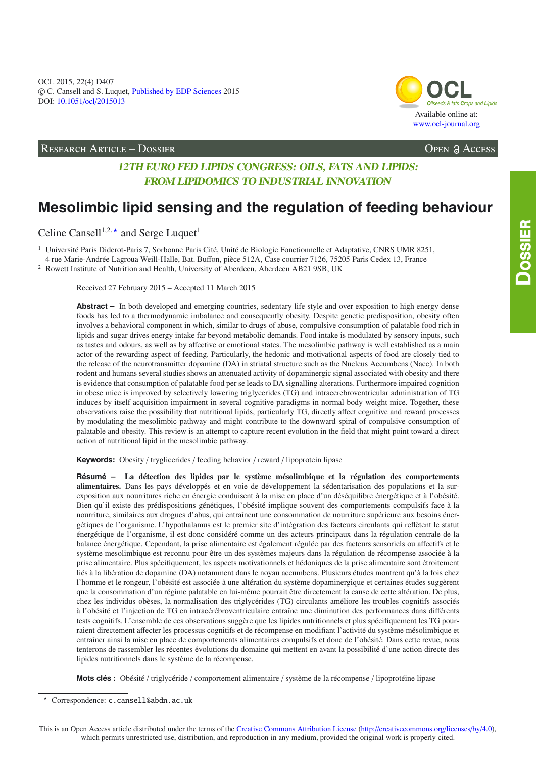

## RESEARCH ARTICLE – DOSSIER Open Access

# **12TH EURO FED LIPIDS CONGRESS: OILS, FATS AND LIPIDS: FROM LIPIDOMICS TO INDUSTRIAL INNOVATION**

# **Mesolimbic lipid sensing and the regulation of feeding behaviour**

Celine Cansell<sup>1,2, $\star$ </sup> and Serge Luquet<sup>1</sup>

<sup>1</sup> Université Paris Diderot-Paris 7, Sorbonne Paris Cité, Unité de Biologie Fonctionnelle et Adaptative, CNRS UMR 8251,

4 rue Marie-Andrée Lagroua Weill-Halle, Bat. Buffon, pièce 512A, Case courrier 7126, 75205 Paris Cedex 13, France <sup>2</sup> Rowett Institute of Nutrition and Health, University of Aberdeen, Aberdeen AB21 9SB, UK

Received 27 February 2015 – Accepted 11 March 2015

Abstract – In both developed and emerging countries, sedentary life style and over exposition to high energy dense foods has led to a thermodynamic imbalance and consequently obesity. Despite genetic predisposition, obesity often involves a behavioral component in which, similar to drugs of abuse, compulsive consumption of palatable food rich in lipids and sugar drives energy intake far beyond metabolic demands. Food intake is modulated by sensory inputs, such as tastes and odours, as well as by affective or emotional states. The mesolimbic pathway is well established as a main actor of the rewarding aspect of feeding. Particularly, the hedonic and motivational aspects of food are closely tied to the release of the neurotransmitter dopamine (DA) in striatal structure such as the Nucleus Accumbens (Nacc). In both rodent and humans several studies shows an attenuated activity of dopaminergic signal associated with obesity and there is evidence that consumption of palatable food per se leads to DA signalling alterations. Furthermore impaired cognition in obese mice is improved by selectively lowering triglycerides (TG) and intracerebroventricular administration of TG induces by itself acquisition impairment in several cognitive paradigms in normal body weight mice. Together, these observations raise the possibility that nutritional lipids, particularly TG, directly affect cognitive and reward processes by modulating the mesolimbic pathway and might contribute to the downward spiral of compulsive consumption of palatable and obesity. This review is an attempt to capture recent evolution in the field that might point toward a direct action of nutritional lipid in the mesolimbic pathway.

**Keywords:** Obesity / tryglicerides / feeding behavior / reward / lipoprotein lipase

**Résumé – La détection des lipides par le système mésolimbique et la régulation des comportements alimentaires.** Dans les pays développés et en voie de développement la sédentarisation des populations et la surexposition aux nourritures riche en énergie conduisent à la mise en place d'un déséquilibre énergétique et à l'obésité. Bien qu'il existe des prédispositions génétiques, l'obésité implique souvent des comportements compulsifs face à la nourriture, similaires aux drogues d'abus, qui entraînent une consommation de nourriture supérieure aux besoins énergétiques de l'organisme. L'hypothalamus est le premier site d'intégration des facteurs circulants qui reflètent le statut énergétique de l'organisme, il est donc considéré comme un des acteurs principaux dans la régulation centrale de la balance énergétique. Cependant, la prise alimentaire est également régulée par des facteurs sensoriels ou affectifs et le système mesolimbique est reconnu pour être un des systèmes majeurs dans la régulation de récompense associée à la prise alimentaire. Plus spécifiquement, les aspects motivationnels et hédoniques de la prise alimentaire sont étroitement liés à la libération de dopamine (DA) notamment dans le noyau accumbens. Plusieurs études montrent qu'à la fois chez l'homme et le rongeur, l'obésité est associée à une altération du système dopaminergique et certaines études suggèrent que la consommation d'un régime palatable en lui-même pourrait être directement la cause de cette altération. De plus, chez les individus obèses, la normalisation des triglycérides (TG) circulants améliore les troubles cognitifs associés à l'obésité et l'injection de TG en intracérébroventriculaire entraîne une diminution des performances dans différents tests cognitifs. L'ensemble de ces observations suggère que les lipides nutritionnels et plus spécifiquement les TG pourraient directement affecter les processus cognitifs et de récompense en modifiant l'activité du système mésolimbique et entraîner ainsi la mise en place de comportements alimentaires compulsifs et donc de l'obésité. Dans cette revue, nous tenterons de rassembler les récentes évolutions du domaine qui mettent en avant la possibilité d'une action directe des lipides nutritionnels dans le système de la récompense.

**Mots clés :** Obésité / triglycéride / comportement alimentaire / système de la récompense / lipoprotéine lipase

Correspondence: c.cansell@abdn.ac.uk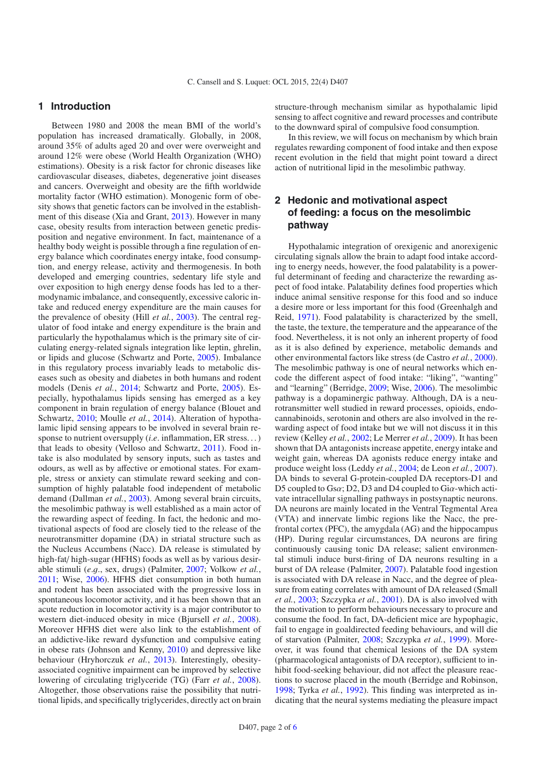## **1 Introduction**

Between 1980 and 2008 the mean BMI of the world's population has increased dramatically. Globally, in 2008, around 35% of adults aged 20 and over were overweight and around 12% were obese (World Health Organization (WHO) estimations). Obesity is a risk factor for chronic diseases like cardiovascular diseases, diabetes, degenerative joint diseases and cancers. Overweight and obesity are the fifth worldwide mortality factor (WHO estimation). Monogenic form of obesity shows that genetic factors can be involved in the establishment of this disease (Xia and Grant, [2013](#page-5-0)). However in many case, obesity results from interaction between genetic predisposition and negative environment. In fact, maintenance of a healthy body weight is possible through a fine regulation of energy balance which coordinates energy intake, food consumption, and energy release, activity and thermogenesis. In both developed and emerging countries, sedentary life style and over exposition to high energy dense foods has led to a thermodynamic imbalance, and consequently, excessive caloric intake and reduced energy expenditure are the main causes for the prevalence of obesity (Hill *et al.*, [2003\)](#page-4-0). The central regulator of food intake and energy expenditure is the brain and particularly the hypothalamus which is the primary site of circulating energy-related signals integration like leptin, ghrelin, or lipids and glucose (Schwartz and Porte, [2005](#page-5-1)). Imbalance in this regulatory process invariably leads to metabolic diseases such as obesity and diabetes in both humans and rodent models (Denis *et al.*, [2014;](#page-4-1) Schwartz and Porte, [2005\)](#page-5-1). Especially, hypothalamus lipids sensing has emerged as a key component in brain regulation of energy balance (Blouet and Schwartz, [2010](#page-4-2); Moulle *et al.*, [2014\)](#page-5-2). Alteration of hypothalamic lipid sensing appears to be involved in several brain response to nutrient oversupply (*i*.*e*. inflammation, ER stress. . . ) that leads to obesity (Velloso and Schwartz, [2011\)](#page-5-3). Food intake is also modulated by sensory inputs, such as tastes and odours, as well as by affective or emotional states. For example, stress or anxiety can stimulate reward seeking and consumption of highly palatable food independent of metabolic demand (Dallman *et al.*, [2003\)](#page-4-3). Among several brain circuits, the mesolimbic pathway is well established as a main actor of the rewarding aspect of feeding. In fact, the hedonic and motivational aspects of food are closely tied to the release of the neurotransmitter dopamine (DA) in striatal structure such as the Nucleus Accumbens (Nacc). DA release is stimulated by high-fat/ high-sugar (HFHS) foods as well as by various desirable stimuli (*e*.g., sex, drugs) (Palmiter, [2007;](#page-5-4) Volkow *et al.*, [2011;](#page-5-5) Wise, [2006\)](#page-5-6). HFHS diet consumption in both human and rodent has been associated with the progressive loss in spontaneous locomotor activity, and it has been shown that an acute reduction in locomotor activity is a major contributor to western diet-induced obesity in mice (Bjursell *et al.*, [2008](#page-4-4)). Moreover HFHS diet were also link to the establishment of an addictive-like reward dysfunction and compulsive eating in obese rats (Johnson and Kenny, [2010\)](#page-4-5) and depressive like behaviour (Hryhorczuk *et al.*, [2013\)](#page-4-6). Interestingly, obesityassociated cognitive impairment can be improved by selective lowering of circulating triglyceride (TG) (Farr *et al.*, [2008](#page-4-7)). Altogether, those observations raise the possibility that nutritional lipids, and specifically triglycerides, directly act on brain structure-through mechanism similar as hypothalamic lipid sensing to affect cognitive and reward processes and contribute to the downward spiral of compulsive food consumption.

In this review, we will focus on mechanism by which brain regulates rewarding component of food intake and then expose recent evolution in the field that might point toward a direct action of nutritional lipid in the mesolimbic pathway.

# **2 Hedonic and motivational aspect of feeding: a focus on the mesolimbic pathway**

Hypothalamic integration of orexigenic and anorexigenic circulating signals allow the brain to adapt food intake according to energy needs, however, the food palatability is a powerful determinant of feeding and characterize the rewarding aspect of food intake. Palatability defines food properties which induce animal sensitive response for this food and so induce a desire more or less important for this food (Greenhalgh and Reid, [1971\)](#page-4-8). Food palatability is characterized by the smell, the taste, the texture, the temperature and the appearance of the food. Nevertheless, it is not only an inherent property of food as it is also defined by experience, metabolic demands and other environmental factors like stress (de Castro *et al.*, [2000\)](#page-4-9). The mesolimbic pathway is one of neural networks which encode the different aspect of food intake: "liking", "wanting" and "learning" (Berridge, [2009;](#page-4-10) Wise, [2006\)](#page-5-6). The mesolimbic pathway is a dopaminergic pathway. Although, DA is a neurotransmitter well studied in reward processes, opioids, endocannabinoids, serotonin and others are also involved in the rewarding aspect of food intake but we will not discuss it in this review (Kelley *et al.*, [2002;](#page-4-11) Le Merrer *et al.*, [2009](#page-5-7)). It has been shown that DA antagonists increase appetite, energy intake and weight gain, whereas DA agonists reduce energy intake and produce weight loss (Leddy *et al.*, [2004;](#page-5-8) de Leon *et al.*, [2007\)](#page-4-12). DA binds to several G-protein-coupled DA receptors-D1 and D5 coupled to Gs $\alpha$ ; D2, D3 and D4 coupled to Gi $\alpha$ -which activate intracellular signalling pathways in postsynaptic neurons. DA neurons are mainly located in the Ventral Tegmental Area (VTA) and innervate limbic regions like the Nacc, the prefrontal cortex (PFC), the amygdala (AG) and the hippocampus (HP). During regular circumstances, DA neurons are firing continuously causing tonic DA release; salient environmental stimuli induce burst-firing of DA neurons resulting in a burst of DA release (Palmiter, [2007\)](#page-5-4). Palatable food ingestion is associated with DA release in Nacc, and the degree of pleasure from eating correlates with amount of DA released (Small *et al.*, [2003](#page-5-9); Szczypka *et al.*, [2001\)](#page-5-10). DA is also involved with the motivation to perform behaviours necessary to procure and consume the food. In fact, DA-deficient mice are hypophagic, fail to engage in goaldirected feeding behaviours, and will die of starvation (Palmiter, [2008;](#page-5-11) Szczypka *et al.*, [1999\)](#page-5-12). Moreover, it was found that chemical lesions of the DA system (pharmacological antagonists of DA receptor), sufficient to inhibit food-seeking behaviour, did not affect the pleasure reactions to sucrose placed in the mouth (Berridge and Robinson, [1998;](#page-4-13) Tyrka *et al.*, [1992\)](#page-5-13). This finding was interpreted as indicating that the neural systems mediating the pleasure impact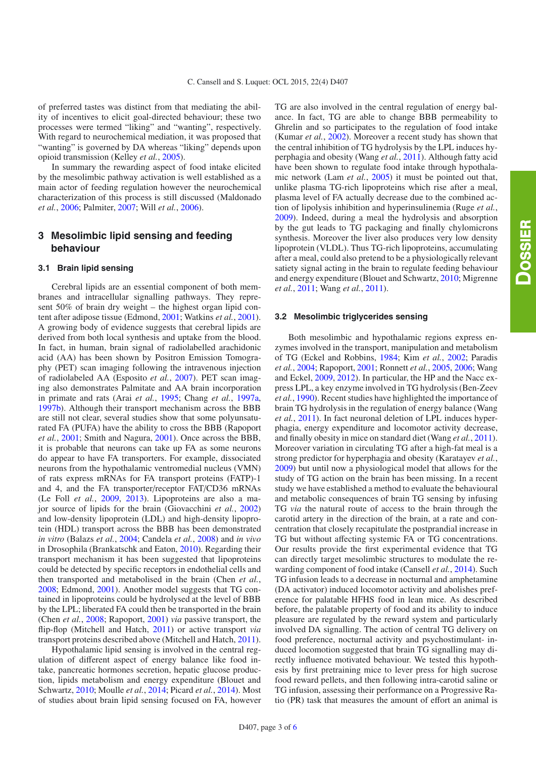of preferred tastes was distinct from that mediating the ability of incentives to elicit goal-directed behaviour; these two processes were termed "liking" and "wanting", respectively. With regard to neurochemical mediation, it was proposed that "wanting" is governed by DA whereas "liking" depends upon opioid transmission (Kelley *et al.*, [2005](#page-4-14)).

In summary the rewarding aspect of food intake elicited by the mesolimbic pathway activation is well established as a main actor of feeding regulation however the neurochemical characterization of this process is still discussed (Maldonado *et al.*, [2006;](#page-5-15) Palmiter, [2007;](#page-5-4) Will *et al.*, [2006\)](#page-5-16).

# **3 Mesolimbic lipid sensing and feeding behaviour**

#### **3.1 Brain lipid sensing**

Cerebral lipids are an essential component of both membranes and intracellular signalling pathways. They represent 50% of brain dry weight – the highest organ lipid content after adipose tissue (Edmond, [2001;](#page-4-15) Watkins *et al.*, [2001](#page-5-17)). A growing body of evidence suggests that cerebral lipids are derived from both local synthesis and uptake from the blood. In fact, in human, brain signal of radiolabelled arachidonic acid (AA) has been shown by Positron Emission Tomography (PET) scan imaging following the intravenous injection of radiolabeled AA (Esposito *et al.*, [2007](#page-4-16)). PET scan imaging also demonstrates Palmitate and AA brain incorporation in primate and rats (Arai *et al.*, [1995;](#page-4-17) Chang *et al.*, [1997a,](#page-4-18) [1997b\)](#page-4-19). Although their transport mechanism across the BBB are still not clear, several studies show that some polyunsaturated FA (PUFA) have the ability to cross the BBB (Rapoport *et al.*, [2001](#page-5-18); Smith and Nagura, [2001](#page-5-19)). Once across the BBB, it is probable that neurons can take up FA as some neurons do appear to have FA transporters. For example, dissociated neurons from the hypothalamic ventromedial nucleus (VMN) of rats express mRNAs for FA transport proteins (FATP)-1 and 4, and the FA transporter/receptor FAT/CD36 mRNAs (Le Foll *et al.*, [2009](#page-5-20), [2013\)](#page-5-21). Lipoproteins are also a major source of lipids for the brain (Giovacchini *et al.*, [2002\)](#page-4-20) and low-density lipoprotein (LDL) and high-density lipoprotein (HDL) transport across the BBB has been demonstrated *in vitro* (Balazs *et al.*, [2004;](#page-4-21) Candela *et al.*, [2008\)](#page-4-22) and *in vivo* in Drosophila (Brankatschk and Eaton, [2010\)](#page-4-23). Regarding their transport mechanism it has been suggested that lipoproteins could be detected by specific receptors in endothelial cells and then transported and metabolised in the brain (Chen *et al.*, [2008;](#page-4-24) Edmond, [2001\)](#page-4-15). Another model suggests that TG contained in lipoproteins could be hydrolysed at the level of BBB by the LPL; liberated FA could then be transported in the brain (Chen *et al.*, [2008;](#page-4-24) Rapoport, [2001\)](#page-5-22) *via* passive transport, the flip-flop (Mitchell and Hatch, [2011\)](#page-5-23) or active transport *via* transport proteins described above (Mitchell and Hatch, [2011](#page-5-23)).

Hypothalamic lipid sensing is involved in the central regulation of different aspect of energy balance like food intake, pancreatic hormones secretion, hepatic glucose production, lipids metabolism and energy expenditure (Blouet and Schwartz, [2010](#page-4-2); Moulle *et al.*, [2014;](#page-5-2) Picard *et al.*, [2014\)](#page-5-24). Most of studies about brain lipid sensing focused on FA, however TG are also involved in the central regulation of energy balance. In fact, TG are able to change BBB permeability to Ghrelin and so participates to the regulation of food intake (Kumar *et al.*, [2002\)](#page-4-25). Moreover a recent study has shown that the central inhibition of TG hydrolysis by the LPL induces hyperphagia and obesity (Wang *et al.*, [2011\)](#page-5-25). Although fatty acid have been shown to regulate food intake through hypothalamic network (Lam *et al.*, [2005\)](#page-4-26) it must be pointed out that, unlike plasma TG-rich lipoproteins which rise after a meal, plasma level of FA actually decrease due to the combined action of lipolysis inhibition and hyperinsulinemia (Ruge *et al.*, [2009\)](#page-5-26). Indeed, during a meal the hydrolysis and absorption by the gut leads to TG packaging and finally chylomicrons synthesis. Moreover the liver also produces very low density lipoprotein (VLDL). Thus TG-rich lipoproteins, accumulating after a meal, could also pretend to be a physiologically relevant satiety signal acting in the brain to regulate feeding behaviour and energy expenditure (Blouet and Schwartz, [2010;](#page-4-2) Migrenne *et al.*, [2011;](#page-5-27) Wang *et al.*, [2011\)](#page-5-25).

#### **3.2 Mesolimbic triglycerides sensing**

Both mesolimbic and hypothalamic regions express enzymes involved in the transport, manipulation and metabolism of TG (Eckel and Robbins, [1984;](#page-4-27) Kim *et al.*, [2002](#page-4-28); Paradis *et al.*, [2004;](#page-5-28) Rapoport, [2001;](#page-5-22) Ronnett *et al.*, [2005](#page-5-29), [2006;](#page-5-30) Wang and Eckel, [2009,](#page-5-31) [2012\)](#page-5-32). In particular, the HP and the Nacc express LPL, a key enzyme involved in TG hydrolysis (Ben-Zeev *et al.*, [1990](#page-4-29)). Recent studies have highlighted the importance of brain TG hydrolysis in the regulation of energy balance (Wang *et al.*, [2011](#page-5-25)). In fact neuronal deletion of LPL induces hyperphagia, energy expenditure and locomotor activity decrease, and finally obesity in mice on standard diet (Wang *et al.*, [2011\)](#page-5-25). Moreover variation in circulating TG after a high-fat meal is a strong predictor for hyperphagia and obesity (Karatayev *et al.*, [2009\)](#page-4-30) but until now a physiological model that allows for the study of TG action on the brain has been missing. In a recent study we have established a method to evaluate the behavioural and metabolic consequences of brain TG sensing by infusing TG *via* the natural route of access to the brain through the carotid artery in the direction of the brain, at a rate and concentration that closely recapitulate the postprandial increase in TG but without affecting systemic FA or TG concentrations. Our results provide the first experimental evidence that TG can directly target mesolimbic structures to modulate the rewarding component of food intake (Cansell *et al.*, [2014\)](#page-4-31). Such TG infusion leads to a decrease in nocturnal and amphetamine (DA activator) induced locomotor activity and abolishes preference for palatable HFHS food in lean mice. As described before, the palatable property of food and its ability to induce pleasure are regulated by the reward system and particularly involved DA signalling. The action of central TG delivery on food preference, nocturnal activity and psychostimulant- induced locomotion suggested that brain TG signalling may directly influence motivated behaviour. We tested this hypothesis by first pretraining mice to lever press for high sucrose food reward pellets, and then following intra-carotid saline or TG infusion, assessing their performance on a Progressive Ratio (PR) task that measures the amount of effort an animal is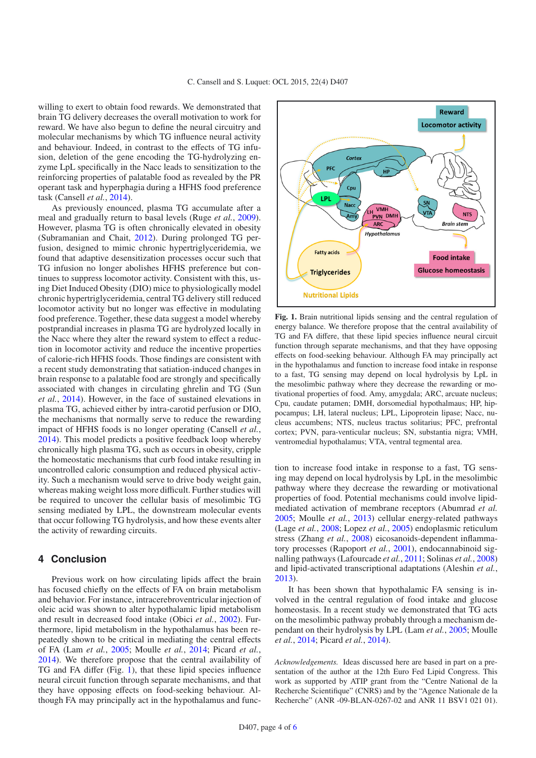willing to exert to obtain food rewards. We demonstrated that brain TG delivery decreases the overall motivation to work for reward. We have also begun to define the neural circuitry and molecular mechanisms by which TG influence neural activity and behaviour. Indeed, in contrast to the effects of TG infusion, deletion of the gene encoding the TG-hydrolyzing enzyme LpL specifically in the Nacc leads to sensitization to the reinforcing properties of palatable food as revealed by the PR operant task and hyperphagia during a HFHS food preference task (Cansell *et al.*, [2014\)](#page-4-31).

As previously enounced, plasma TG accumulate after a meal and gradually return to basal levels (Ruge *et al.*, [2009](#page-5-26)). However, plasma TG is often chronically elevated in obesity (Subramanian and Chait, [2012\)](#page-5-33). During prolonged TG perfusion, designed to mimic chronic hypertriglyceridemia, we found that adaptive desensitization processes occur such that TG infusion no longer abolishes HFHS preference but continues to suppress locomotor activity. Consistent with this, using Diet Induced Obesity (DIO) mice to physiologically model chronic hypertriglyceridemia, central TG delivery still reduced locomotor activity but no longer was effective in modulating food preference. Together, these data suggest a model whereby postprandial increases in plasma TG are hydrolyzed locally in the Nacc where they alter the reward system to effect a reduction in locomotor activity and reduce the incentive properties of calorie-rich HFHS foods. Those findings are consistent with a recent study demonstrating that satiation-induced changes in brain response to a palatable food are strongly and specifically associated with changes in circulating ghrelin and TG (Sun *et al.*, [2014](#page-5-34)). However, in the face of sustained elevations in plasma TG, achieved either by intra-carotid perfusion or DIO, the mechanisms that normally serve to reduce the rewarding impact of HFHS foods is no longer operating (Cansell *et al.*, [2014\)](#page-4-31). This model predicts a positive feedback loop whereby chronically high plasma TG, such as occurs in obesity, cripple the homeostatic mechanisms that curb food intake resulting in uncontrolled caloric consumption and reduced physical activity. Such a mechanism would serve to drive body weight gain, whereas making weight loss more difficult. Further studies will be required to uncover the cellular basis of mesolimbic TG sensing mediated by LPL, the downstream molecular events that occur following TG hydrolysis, and how these events alter the activity of rewarding circuits.

# **4 Conclusion**

Previous work on how circulating lipids affect the brain has focused chiefly on the effects of FA on brain metabolism and behavior. For instance, intracerebroventricular injection of oleic acid was shown to alter hypothalamic lipid metabolism and result in decreased food intake (Obici *et al.*, [2002\)](#page-5-35). Furthermore, lipid metabolism in the hypothalamus has been repeatedly shown to be critical in mediating the central effects of FA (Lam *et al.*, [2005;](#page-4-26) Moulle *et al.*, [2014](#page-5-2); Picard *et al.*, [2014\)](#page-5-24). We therefore propose that the central availability of TG and FA differ (Fig. [1\)](#page-3-0), that these lipid species influence neural circuit function through separate mechanisms, and that they have opposing effects on food-seeking behaviour. Although FA may principally act in the hypothalamus and func-

<span id="page-3-0"></span>

**Fig. 1.** Brain nutritional lipids sensing and the central regulation of energy balance. We therefore propose that the central availability of TG and FA differe, that these lipid species influence neural circuit function through separate mechanisms, and that they have opposing effects on food-seeking behaviour. Although FA may principally act in the hypothalamus and function to increase food intake in response to a fast, TG sensing may depend on local hydrolysis by LpL in the mesolimbic pathway where they decrease the rewarding or motivational properties of food. Amy, amygdala; ARC, arcuate nucleus; Cpu, caudate putamen; DMH, dorsomedial hypothalmaus; HP, hippocampus; LH, lateral nucleus; LPL, Lipoprotein lipase; Nacc, nucleus accumbens; NTS, nucleus tractus solitarius; PFC, prefrontal cortex; PVN, para-venticular nucleus; SN, substantia nigra; VMH, ventromedial hypothalamus; VTA, ventral tegmental area.

tion to increase food intake in response to a fast, TG sensing may depend on local hydrolysis by LpL in the mesolimbic pathway where they decrease the rewarding or motivational properties of food. Potential mechanisms could involve lipidmediated activation of membrane receptors (Abumrad *et al.* [2005;](#page-4-32) Moulle *et al.*, [2013\)](#page-5-36) cellular energy-related pathways (Lage *et al.*, [2008;](#page-4-33) Lopez *et al.*, [2005\)](#page-5-37) endoplasmic reticulum stress (Zhang *et al.*, [2008\)](#page-5-38) eicosanoids-dependent inflammatory processes (Rapoport *et al.*, [2001](#page-5-18)), endocannabinoid signalling pathways (Lafourcade *et al.*, [2011;](#page-4-34) Solinas *et al.*, [2008\)](#page-5-39) and lipid-activated transcriptional adaptations (Aleshin *et al.*, [2013\)](#page-4-35).

It has been shown that hypothalamic FA sensing is involved in the central regulation of food intake and glucose homeostasis. In a recent study we demonstrated that TG acts on the mesolimbic pathway probably through a mechanism dependant on their hydrolysis by LPL (Lam *et al.*, [2005;](#page-4-26) Moulle *et al.*, [2014;](#page-5-2) Picard *et al.*, [2014\)](#page-5-24).

*Acknowledgements.* Ideas discussed here are based in part on a presentation of the author at the 12th Euro Fed Lipid Congress. This work as supported by ATIP grant from the "Centre National de la Recherche Scientifique" (CNRS) and by the "Agence Nationale de la Recherche" (ANR -09-BLAN-0267-02 and ANR 11 BSV1 021 01).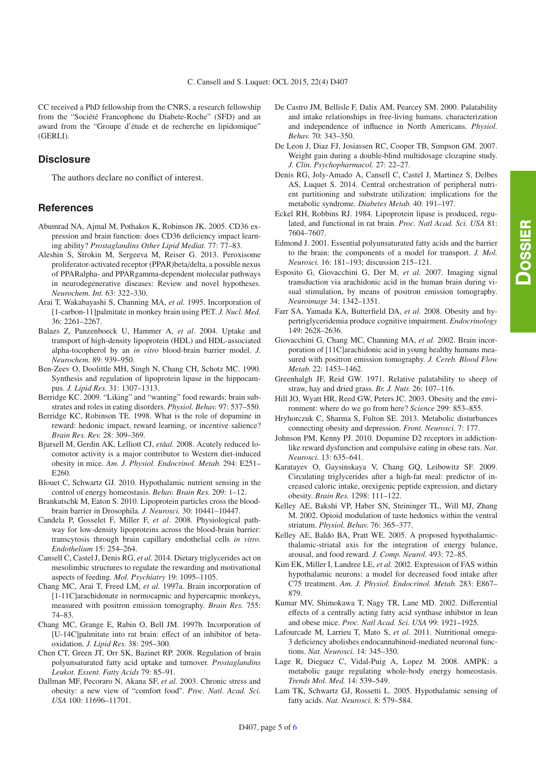CC received a PhD fellowship from the CNRS, a research fellowship from the "Société Francophone du Diabete-Roche" (SFD) and an award from the "Groupe d'étude et de recherche en lipidomique" (GERLI).

## **Disclosure**

The authors declare no conflict of interest.

### **References**

- <span id="page-4-32"></span>Abumrad NA, Ajmal M, Pothakos K, Robinson JK. 2005. CD36 expression and brain function: does CD36 deficiency impact learning ability? *Prostaglandins Other Lipid Mediat.* 77: 77–83.
- <span id="page-4-35"></span>Aleshin S, Strokin M, Sergeeva M, Reiser G. 2013. Peroxisome proliferator-activated receptor (PPAR)beta/delta, a possible nexus of PPARalpha- and PPARgamma-dependent molecular pathways in neurodegenerative diseases: Review and novel hypotheses. *Neurochem. Int.* 63: 322–330.
- <span id="page-4-17"></span>Arai T, Wakabayashi S, Channing MA, *et al.* 1995. Incorporation of [1-carbon-11]palmitate in monkey brain using PET. *J. Nucl. Med.* 36: 2261–2267.
- <span id="page-4-21"></span>Balazs Z, Panzenboeck U, Hammer A, *et al*. 2004. Uptake and transport of high-density lipoprotein (HDL) and HDL-associated alpha-tocopherol by an *in vitro* blood-brain barrier model. *J. Neurochem.* 89: 939–950.
- <span id="page-4-29"></span>Ben-Zeev O, Doolittle MH, Singh N, Chang CH, Schotz MC. 1990. Synthesis and regulation of lipoprotein lipase in the hippocampus. *J. Lipid Res.* 31: 1307–1313.
- <span id="page-4-10"></span>Berridge KC. 2009. "Liking" and "wanting" food rewards: brain substrates and roles in eating disorders. *Physiol. Behav.* 97: 537–550.
- <span id="page-4-13"></span>Berridge KC, Robinson TE. 1998. What is the role of dopamine in reward: hedonic impact, reward learning, or incentive salience? *Brain Res. Rev.* 28: 309–369.
- <span id="page-4-4"></span>Bjursell M, Gerdin AK, Lelliott CJ, etăal. 2008. Acutely reduced locomotor activity is a major contributor to Western diet-induced obesity in mice. *Am. J. Physiol. Endocrinol. Metab.* 294: E251– E260.
- <span id="page-4-2"></span>Blouet C, Schwartz GJ. 2010. Hypothalamic nutrient sensing in the control of energy homeostasis. *Behav. Brain Res.* 209: 1–12.
- <span id="page-4-23"></span>Brankatschk M, Eaton S. 2010. Lipoprotein particles cross the bloodbrain barrier in Drosophila. *J. Neurosci.* 30: 10441–10447.
- <span id="page-4-22"></span>Candela P, Gosselet F, Miller F, *et al*. 2008. Physiological pathway for low-density lipoproteins across the blood-brain barrier: transcytosis through brain capillary endothelial cells *in vitro*. *Endothelium* 15: 254–264.
- <span id="page-4-31"></span>Cansell C, Castel J, Denis RG, *et al.* 2014. Dietary triglycerides act on mesolimbic structures to regulate the rewarding and motivational aspects of feeding. *Mol. Psychiatry* 19: 1095–1105.
- <span id="page-4-18"></span>Chang MC, Arai T, Freed LM, *et al.* 1997a. Brain incorporation of [1-11C]arachidonate in normocapnic and hypercapnic monkeys, measured with positron emission tomography. *Brain Res.* 755: 74–83.
- <span id="page-4-19"></span>Chang MC, Grange E, Rabin O, Bell JM. 1997b. Incorporation of [U-14C]palmitate into rat brain: effect of an inhibitor of betaoxidation. *J. Lipid Res.* 38: 295–300.
- <span id="page-4-24"></span>Chen CT, Green JT, Orr SK, Bazinet RP. 2008. Regulation of brain polyunsaturated fatty acid uptake and turnover. *Prostaglandins Leukot. Essent. Fatty Acids* 79: 85–91.
- <span id="page-4-3"></span>Dallman MF, Pecoraro N, Akana SF, *et al.* 2003. Chronic stress and obesity: a new view of "comfort food". *Proc. Natl. Acad. Sci. USA* 100: 11696–11701.
- <span id="page-4-9"></span>De Castro JM, Bellisle F, Dalix AM, Pearcey SM. 2000. Palatability and intake relationships in free-living humans. characterization and independence of influence in North Americans. *Physiol. Behav.* 70: 343–350.
- <span id="page-4-12"></span>De Leon J, Diaz FJ, Josiassen RC, Cooper TB, Simpson GM. 2007. Weight gain during a double-blind multidosage clozapine study. *J. Clin. Psychopharmacol.* 27: 22–27.
- <span id="page-4-1"></span>Denis RG, Joly-Amado A, Cansell C, Castel J, Martinez S, Delbes AS, Luquet S. 2014. Central orchestration of peripheral nutrient partitioning and substrate utilization: implications for the metabolic syndrome. *Diabetes Metab.* 40: 191–197.
- <span id="page-4-27"></span>Eckel RH, Robbins RJ. 1984. Lipoprotein lipase is produced, regulated, and functional in rat brain. *Proc. Natl Acad. Sci. USA* 81: 7604–7607.
- <span id="page-4-15"></span>Edmond J. 2001. Essential polyunsaturated fatty acids and the barrier to the brain: the components of a model for transport. *J. Mol. Neurosci.* 16: 181–193; discussion 215–121.
- <span id="page-4-16"></span>Esposito G, Giovacchini G, Der M, *et al.* 2007. Imaging signal transduction via arachidonic acid in the human brain during visual stimulation, by means of positron emission tomography. *Neuroimage* 34: 1342–1351.
- <span id="page-4-7"></span>Farr SA, Yamada KA, Butterfield DA, *et al.* 2008. Obesity and hypertriglyceridemia produce cognitive impairment. *Endocrinology* 149: 2628–2636.
- <span id="page-4-20"></span>Giovacchini G, Chang MC, Channing MA, *et al.* 2002. Brain incorporation of [11C]arachidonic acid in young healthy humans measured with positron emission tomography. *J. Cereb. Blood Flow Metab.* 22: 1453–1462.
- <span id="page-4-8"></span>Greenhalgh JF, Reid GW. 1971. Relative palatability to sheep of straw, hay and dried grass. *Br. J. Nutr.* 26: 107–116.
- <span id="page-4-0"></span>Hill JO, Wyatt HR, Reed GW, Peters JC. 2003. Obesity and the environment: where do we go from here? *Science* 299: 853–855.
- <span id="page-4-6"></span>Hryhorczuk C, Sharma S, Fulton SE. 2013. Metabolic disturbances connecting obesity and depression. *Front. Neurosci.* 7: 177.
- <span id="page-4-5"></span>Johnson PM, Kenny PJ. 2010. Dopamine D2 receptors in addictionlike reward dysfunction and compulsive eating in obese rats. *Nat. Neurosci.* 13: 635–641.
- <span id="page-4-30"></span>Karatayev O, Gaysinskaya V, Chang GQ, Leibowitz SF. 2009. Circulating triglycerides after a high-fat meal: predictor of increased caloric intake, orexigenic peptide expression, and dietary obesity. *Brain Res.* 1298: 111–122.
- <span id="page-4-11"></span>Kelley AE, Bakshi VP, Haber SN, Steininger TL, Will MJ, Zhang M. 2002. Opioid modulation of taste hedonics within the ventral striatum. *Physiol. Behav.* 76: 365–377.
- <span id="page-4-14"></span>Kelley AE, Baldo BA, Pratt WE. 2005. A proposed hypothalamicthalamic-striatal axis for the integration of energy balance, arousal, and food reward. *J. Comp. Neurol.* 493: 72–85.
- <span id="page-4-28"></span>Kim EK, Miller I, Landree LE, *et al.* 2002. Expression of FAS within hypothalamic neurons: a model for decreased food intake after C75 treatment. *Am. J. Physiol. Endocrinol. Metab.* 283: E867– 879.
- <span id="page-4-25"></span>Kumar MV, Shimokawa T, Nagy TR, Lane MD. 2002. Differential effects of a centrally acting fatty acid synthase inhibitor in lean and obese mice. *Proc. Natl Acad. Sci. USA* 99: 1921–1925.
- <span id="page-4-34"></span>Lafourcade M, Larrieu T, Mato S, *et al.* 2011. Nutritional omega-3 deficiency abolishes endocannabinoid-mediated neuronal functions. *Nat. Neurosci.* 14: 345–350.
- <span id="page-4-33"></span>Lage R, Dieguez C, Vidal-Puig A, Lopez M. 2008. AMPK: a metabolic gauge regulating whole-body energy homeostasis. *Trends Mol. Med.* 14: 539–549.
- <span id="page-4-26"></span>Lam TK, Schwartz GJ, Rossetti L. 2005. Hypothalamic sensing of fatty acids. *Nat. Neurosci.* 8: 579–584.